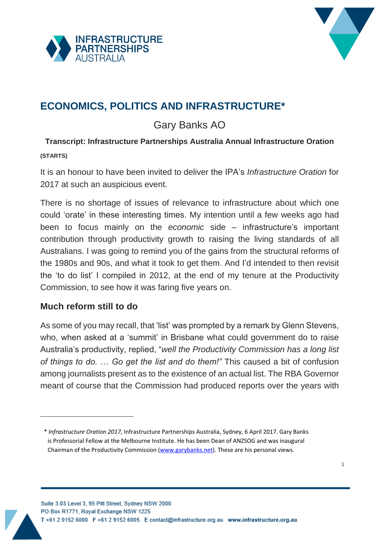



# **ECONOMICS, POLITICS AND INFRASTRUCTURE\* 1**

# Gary Banks AO

## **Transcript: Infrastructure Partnerships Australia Annual Infrastructure Oration (STARTS)**

It is an honour to have been invited to deliver the IPA's *Infrastructure Oration* for 2017 at such an auspicious event.

There is no shortage of issues of relevance to infrastructure about which one could 'orate' in these interesting times. My intention until a few weeks ago had been to focus mainly on the *economic* side – infrastructure's important contribution through productivity growth to raising the living standards of all Australians. I was going to remind you of the gains from the structural reforms of the 1980s and 90s, and what it took to get them. And I'd intended to then revisit the 'to do list' I compiled in 2012, at the end of my tenure at the Productivity Commission, to see how it was faring five years on.

## **Much reform still to do**

-

As some of you may recall, that 'list' was prompted by a remark by Glenn Stevens, who, when asked at a 'summit' in Brisbane what could government do to raise Australia's productivity, replied, "*well the Productivity Commission has a long list of things to do. … Go get the list and do them!"* This caused a bit of confusion among journalists present as to the existence of an actual list. The RBA Governor meant of course that the Commission had produced reports over the years with

<sup>1</sup> \* *Infrastructure Oration 2017*, Infrastructure Partnerships Australia, Sydney, 6 April 2017. Gary Banks is Professorial Fellow at the Melbourne Institute. He has been Dean of ANZSOG and was inaugural Chairman of the Productivity Commission [\(www.garybanks.net\)](http://www.garybanks.net/). These are his personal views.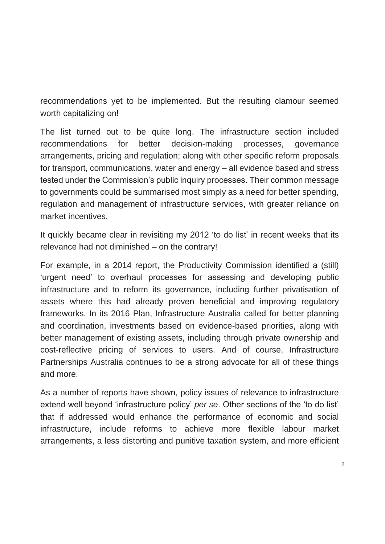recommendations yet to be implemented. But the resulting clamour seemed worth capitalizing on!

The list turned out to be quite long. The infrastructure section included recommendations for better decision-making processes, governance arrangements, pricing and regulation; along with other specific reform proposals for transport, communications, water and energy – all evidence based and stress tested under the Commission's public inquiry processes. Their common message to governments could be summarised most simply as a need for better spending, regulation and management of infrastructure services, with greater reliance on market incentives.

It quickly became clear in revisiting my 2012 'to do list' in recent weeks that its relevance had not diminished – on the contrary!

For example, in a 2014 report, the Productivity Commission identified a (still) 'urgent need' to overhaul processes for assessing and developing public infrastructure and to reform its governance, including further privatisation of assets where this had already proven beneficial and improving regulatory frameworks. In its 2016 Plan, Infrastructure Australia called for better planning and coordination, investments based on evidence-based priorities, along with better management of existing assets, including through private ownership and cost-reflective pricing of services to users. And of course, Infrastructure Partnerships Australia continues to be a strong advocate for all of these things and more.

As a number of reports have shown, policy issues of relevance to infrastructure extend well beyond 'infrastructure policy' *per se*. Other sections of the 'to do list' that if addressed would enhance the performance of economic and social infrastructure, include reforms to achieve more flexible labour market arrangements, a less distorting and punitive taxation system, and more efficient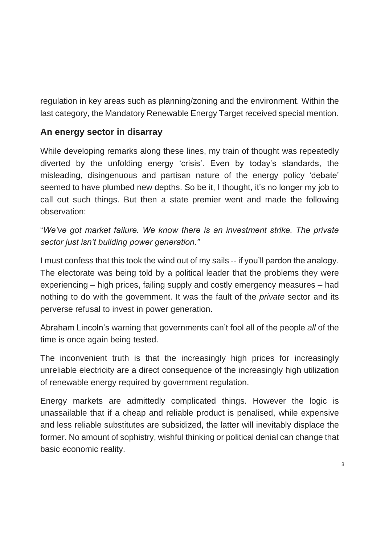regulation in key areas such as planning/zoning and the environment. Within the last category, the Mandatory Renewable Energy Target received special mention.

#### **An energy sector in disarray**

While developing remarks along these lines, my train of thought was repeatedly diverted by the unfolding energy 'crisis'. Even by today's standards, the misleading, disingenuous and partisan nature of the energy policy 'debate' seemed to have plumbed new depths. So be it, I thought, it's no longer my job to call out such things. But then a state premier went and made the following observation:

"*We've got market failure. We know there is an investment strike. The private sector just isn't building power generation."*

I must confess that this took the wind out of my sails -- if you'll pardon the analogy. The electorate was being told by a political leader that the problems they were experiencing – high prices, failing supply and costly emergency measures – had nothing to do with the government. It was the fault of the *private* sector and its perverse refusal to invest in power generation.

Abraham Lincoln's warning that governments can't fool all of the people *all* of the time is once again being tested.

The inconvenient truth is that the increasingly high prices for increasingly unreliable electricity are a direct consequence of the increasingly high utilization of renewable energy required by government regulation.

Energy markets are admittedly complicated things. However the logic is unassailable that if a cheap and reliable product is penalised, while expensive and less reliable substitutes are subsidized, the latter will inevitably displace the former. No amount of sophistry, wishful thinking or political denial can change that basic economic reality.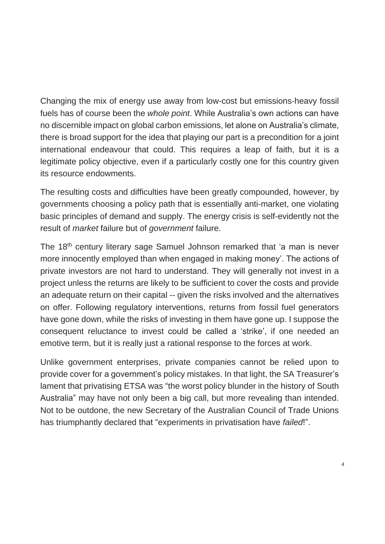Changing the mix of energy use away from low-cost but emissions-heavy fossil fuels has of course been the *whole point*. While Australia's own actions can have no discernible impact on global carbon emissions, let alone on Australia's climate, there is broad support for the idea that playing our part is a precondition for a joint international endeavour that could. This requires a leap of faith, but it is a legitimate policy objective, even if a particularly costly one for this country given its resource endowments.

The resulting costs and difficulties have been greatly compounded, however, by governments choosing a policy path that is essentially anti-market, one violating basic principles of demand and supply. The energy crisis is self-evidently not the result of *market* failure but of *government* failure.

The 18<sup>th</sup> century literary sage Samuel Johnson remarked that 'a man is never more innocently employed than when engaged in making money'. The actions of private investors are not hard to understand. They will generally not invest in a project unless the returns are likely to be sufficient to cover the costs and provide an adequate return on their capital -- given the risks involved and the alternatives on offer. Following regulatory interventions, returns from fossil fuel generators have gone down, while the risks of investing in them have gone up. I suppose the consequent reluctance to invest could be called a 'strike', if one needed an emotive term, but it is really just a rational response to the forces at work.

Unlike government enterprises, private companies cannot be relied upon to provide cover for a government's policy mistakes. In that light, the SA Treasurer's lament that privatising ETSA was "the worst policy blunder in the history of South Australia" may have not only been a big call, but more revealing than intended. Not to be outdone, the new Secretary of the Australian Council of Trade Unions has triumphantly declared that "experiments in privatisation have *failed*!".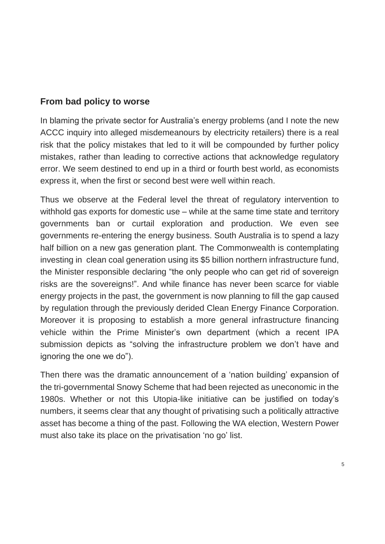#### **From bad policy to worse**

In blaming the private sector for Australia's energy problems (and I note the new ACCC inquiry into alleged misdemeanours by electricity retailers) there is a real risk that the policy mistakes that led to it will be compounded by further policy mistakes, rather than leading to corrective actions that acknowledge regulatory error. We seem destined to end up in a third or fourth best world, as economists express it, when the first or second best were well within reach.

Thus we observe at the Federal level the threat of regulatory intervention to withhold gas exports for domestic use – while at the same time state and territory governments ban or curtail exploration and production. We even see governments re-entering the energy business. South Australia is to spend a lazy half billion on a new gas generation plant. The Commonwealth is contemplating investing in clean coal generation using its \$5 billion northern infrastructure fund, the Minister responsible declaring "the only people who can get rid of sovereign risks are the sovereigns!". And while finance has never been scarce for viable energy projects in the past, the government is now planning to fill the gap caused by regulation through the previously derided Clean Energy Finance Corporation. Moreover it is proposing to establish a more general infrastructure financing vehicle within the Prime Minister's own department (which a recent IPA submission depicts as "solving the infrastructure problem we don't have and ignoring the one we do").

Then there was the dramatic announcement of a 'nation building' expansion of the tri-governmental Snowy Scheme that had been rejected as uneconomic in the 1980s. Whether or not this Utopia-like initiative can be justified on today's numbers, it seems clear that any thought of privatising such a politically attractive asset has become a thing of the past. Following the WA election, Western Power must also take its place on the privatisation 'no go' list.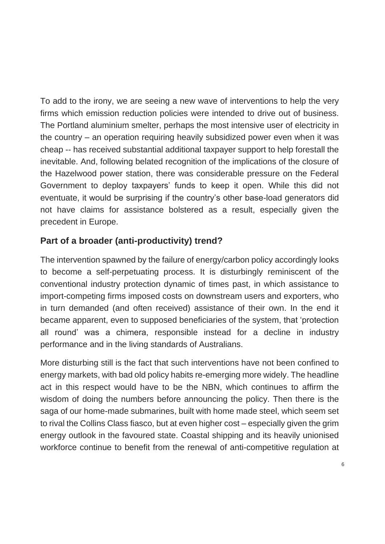To add to the irony, we are seeing a new wave of interventions to help the very firms which emission reduction policies were intended to drive out of business. The Portland aluminium smelter, perhaps the most intensive user of electricity in the country – an operation requiring heavily subsidized power even when it was cheap -- has received substantial additional taxpayer support to help forestall the inevitable. And, following belated recognition of the implications of the closure of the Hazelwood power station, there was considerable pressure on the Federal Government to deploy taxpayers' funds to keep it open. While this did not eventuate, it would be surprising if the country's other base-load generators did not have claims for assistance bolstered as a result, especially given the precedent in Europe.

# **Part of a broader (anti-productivity) trend?**

The intervention spawned by the failure of energy/carbon policy accordingly looks to become a self-perpetuating process. It is disturbingly reminiscent of the conventional industry protection dynamic of times past, in which assistance to import-competing firms imposed costs on downstream users and exporters, who in turn demanded (and often received) assistance of their own. In the end it became apparent, even to supposed beneficiaries of the system, that 'protection all round' was a chimera, responsible instead for a decline in industry performance and in the living standards of Australians.

More disturbing still is the fact that such interventions have not been confined to energy markets, with bad old policy habits re-emerging more widely. The headline act in this respect would have to be the NBN, which continues to affirm the wisdom of doing the numbers before announcing the policy. Then there is the saga of our home-made submarines, built with home made steel, which seem set to rival the Collins Class fiasco, but at even higher cost – especially given the grim energy outlook in the favoured state. Coastal shipping and its heavily unionised workforce continue to benefit from the renewal of anti-competitive regulation at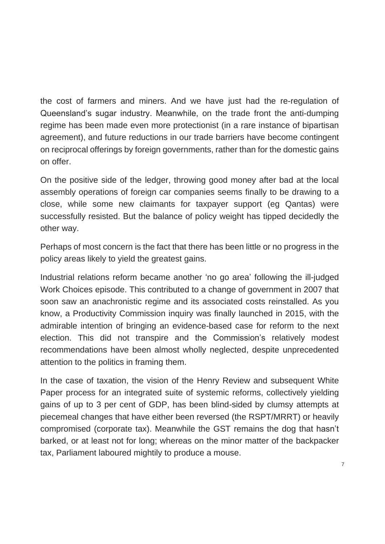the cost of farmers and miners. And we have just had the re-regulation of Queensland's sugar industry. Meanwhile, on the trade front the anti-dumping regime has been made even more protectionist (in a rare instance of bipartisan agreement), and future reductions in our trade barriers have become contingent on reciprocal offerings by foreign governments, rather than for the domestic gains on offer.

On the positive side of the ledger, throwing good money after bad at the local assembly operations of foreign car companies seems finally to be drawing to a close, while some new claimants for taxpayer support (eg Qantas) were successfully resisted. But the balance of policy weight has tipped decidedly the other way.

Perhaps of most concern is the fact that there has been little or no progress in the policy areas likely to yield the greatest gains.

Industrial relations reform became another 'no go area' following the ill-judged Work Choices episode. This contributed to a change of government in 2007 that soon saw an anachronistic regime and its associated costs reinstalled. As you know, a Productivity Commission inquiry was finally launched in 2015, with the admirable intention of bringing an evidence-based case for reform to the next election. This did not transpire and the Commission's relatively modest recommendations have been almost wholly neglected, despite unprecedented attention to the politics in framing them.

In the case of taxation, the vision of the Henry Review and subsequent White Paper process for an integrated suite of systemic reforms, collectively yielding gains of up to 3 per cent of GDP, has been blind-sided by clumsy attempts at piecemeal changes that have either been reversed (the RSPT/MRRT) or heavily compromised (corporate tax). Meanwhile the GST remains the dog that hasn't barked, or at least not for long; whereas on the minor matter of the backpacker tax, Parliament laboured mightily to produce a mouse.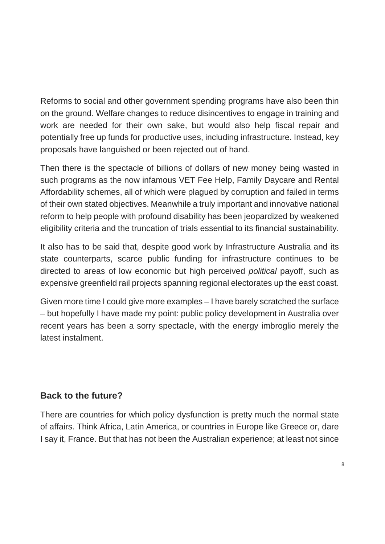Reforms to social and other government spending programs have also been thin on the ground. Welfare changes to reduce disincentives to engage in training and work are needed for their own sake, but would also help fiscal repair and potentially free up funds for productive uses, including infrastructure. Instead, key proposals have languished or been rejected out of hand.

Then there is the spectacle of billions of dollars of new money being wasted in such programs as the now infamous VET Fee Help, Family Daycare and Rental Affordability schemes, all of which were plagued by corruption and failed in terms of their own stated objectives. Meanwhile a truly important and innovative national reform to help people with profound disability has been jeopardized by weakened eligibility criteria and the truncation of trials essential to its financial sustainability.

It also has to be said that, despite good work by Infrastructure Australia and its state counterparts, scarce public funding for infrastructure continues to be directed to areas of low economic but high perceived *political* payoff, such as expensive greenfield rail projects spanning regional electorates up the east coast.

Given more time I could give more examples – I have barely scratched the surface – but hopefully I have made my point: public policy development in Australia over recent years has been a sorry spectacle, with the energy imbroglio merely the latest instalment.

## **Back to the future?**

There are countries for which policy dysfunction is pretty much the normal state of affairs. Think Africa, Latin America, or countries in Europe like Greece or, dare I say it, France. But that has not been the Australian experience; at least not since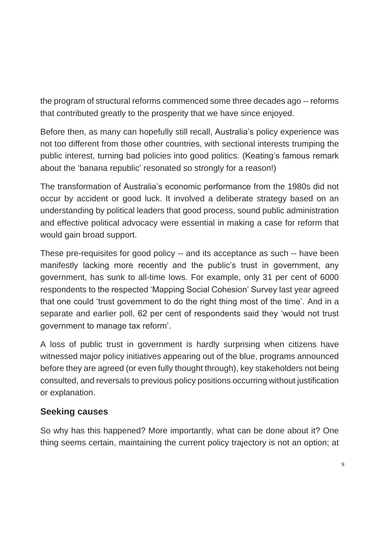the program of structural reforms commenced some three decades ago -- reforms that contributed greatly to the prosperity that we have since enjoyed.

Before then, as many can hopefully still recall, Australia's policy experience was not too different from those other countries, with sectional interests trumping the public interest, turning bad policies into good politics. (Keating's famous remark about the 'banana republic' resonated so strongly for a reason!)

The transformation of Australia's economic performance from the 1980s did not occur by accident or good luck. It involved a deliberate strategy based on an understanding by political leaders that good process, sound public administration and effective political advocacy were essential in making a case for reform that would gain broad support.

These pre-requisites for good policy -- and its acceptance as such -- have been manifestly lacking more recently and the public's trust in government, any government, has sunk to all-time lows. For example, only 31 per cent of 6000 respondents to the respected 'Mapping Social Cohesion' Survey last year agreed that one could 'trust government to do the right thing most of the time'. And in a separate and earlier poll, 62 per cent of respondents said they 'would not trust government to manage tax reform'.

A loss of public trust in government is hardly surprising when citizens have witnessed major policy initiatives appearing out of the blue, programs announced before they are agreed (or even fully thought through), key stakeholders not being consulted, and reversals to previous policy positions occurring without justification or explanation.

#### **Seeking causes**

So why has this happened? More importantly, what can be done about it? One thing seems certain, maintaining the current policy trajectory is not an option; at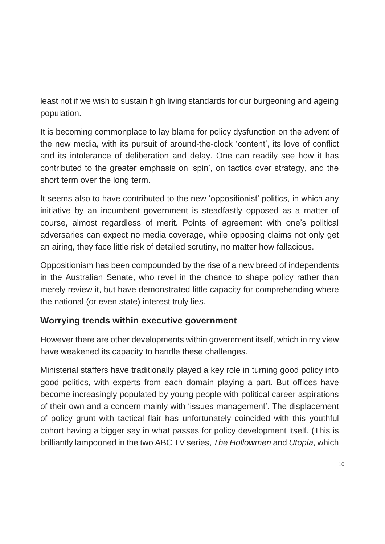least not if we wish to sustain high living standards for our burgeoning and ageing population.

It is becoming commonplace to lay blame for policy dysfunction on the advent of the new media, with its pursuit of around-the-clock 'content', its love of conflict and its intolerance of deliberation and delay. One can readily see how it has contributed to the greater emphasis on 'spin', on tactics over strategy, and the short term over the long term.

It seems also to have contributed to the new 'oppositionist' politics, in which any initiative by an incumbent government is steadfastly opposed as a matter of course, almost regardless of merit. Points of agreement with one's political adversaries can expect no media coverage, while opposing claims not only get an airing, they face little risk of detailed scrutiny, no matter how fallacious.

Oppositionism has been compounded by the rise of a new breed of independents in the Australian Senate, who revel in the chance to shape policy rather than merely review it, but have demonstrated little capacity for comprehending where the national (or even state) interest truly lies.

#### **Worrying trends within executive government**

However there are other developments within government itself, which in my view have weakened its capacity to handle these challenges.

Ministerial staffers have traditionally played a key role in turning good policy into good politics, with experts from each domain playing a part. But offices have become increasingly populated by young people with political career aspirations of their own and a concern mainly with 'issues management'. The displacement of policy grunt with tactical flair has unfortunately coincided with this youthful cohort having a bigger say in what passes for policy development itself. (This is brilliantly lampooned in the two ABC TV series, *The Hollowmen* and *Utopia*, which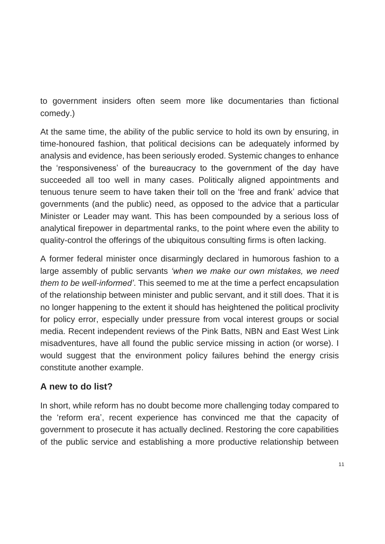to government insiders often seem more like documentaries than fictional comedy.)

At the same time, the ability of the public service to hold its own by ensuring, in time-honoured fashion, that political decisions can be adequately informed by analysis and evidence, has been seriously eroded. Systemic changes to enhance the 'responsiveness' of the bureaucracy to the government of the day have succeeded all too well in many cases. Politically aligned appointments and tenuous tenure seem to have taken their toll on the 'free and frank' advice that governments (and the public) need, as opposed to the advice that a particular Minister or Leader may want. This has been compounded by a serious loss of analytical firepower in departmental ranks, to the point where even the ability to quality-control the offerings of the ubiquitous consulting firms is often lacking.

A former federal minister once disarmingly declared in humorous fashion to a large assembly of public servants *'when we make our own mistakes, we need them to be well-informed'*. This seemed to me at the time a perfect encapsulation of the relationship between minister and public servant, and it still does. That it is no longer happening to the extent it should has heightened the political proclivity for policy error, especially under pressure from vocal interest groups or social media. Recent independent reviews of the Pink Batts, NBN and East West Link misadventures, have all found the public service missing in action (or worse). I would suggest that the environment policy failures behind the energy crisis constitute another example.

#### **A new to do list?**

In short, while reform has no doubt become more challenging today compared to the 'reform era', recent experience has convinced me that the capacity of government to prosecute it has actually declined. Restoring the core capabilities of the public service and establishing a more productive relationship between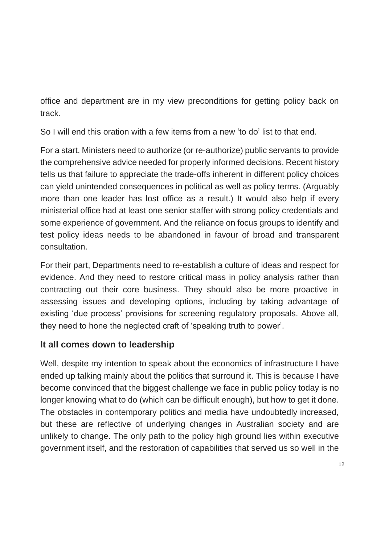office and department are in my view preconditions for getting policy back on track.

So I will end this oration with a few items from a new 'to do' list to that end.

For a start, Ministers need to authorize (or re-authorize) public servants to provide the comprehensive advice needed for properly informed decisions. Recent history tells us that failure to appreciate the trade-offs inherent in different policy choices can yield unintended consequences in political as well as policy terms. (Arguably more than one leader has lost office as a result.) It would also help if every ministerial office had at least one senior staffer with strong policy credentials and some experience of government. And the reliance on focus groups to identify and test policy ideas needs to be abandoned in favour of broad and transparent consultation.

For their part, Departments need to re-establish a culture of ideas and respect for evidence. And they need to restore critical mass in policy analysis rather than contracting out their core business. They should also be more proactive in assessing issues and developing options, including by taking advantage of existing 'due process' provisions for screening regulatory proposals. Above all, they need to hone the neglected craft of 'speaking truth to power'.

## **It all comes down to leadership**

Well, despite my intention to speak about the economics of infrastructure I have ended up talking mainly about the politics that surround it. This is because I have become convinced that the biggest challenge we face in public policy today is no longer knowing what to do (which can be difficult enough), but how to get it done. The obstacles in contemporary politics and media have undoubtedly increased, but these are reflective of underlying changes in Australian society and are unlikely to change. The only path to the policy high ground lies within executive government itself, and the restoration of capabilities that served us so well in the